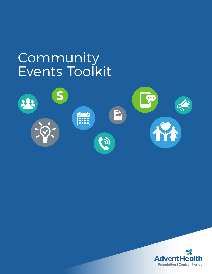# Community Events Toolkit



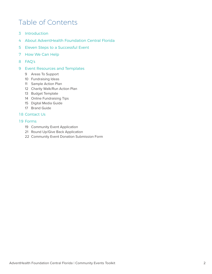## Table of Contents

- [Introduction](#page-2-0)
- [About AdventHealth Foundation Central Florida](#page-3-0)
- [Eleven Steps to a Successful Event](#page-4-0)
- [How We Can Help](#page-6-0)
- [FAQ's](#page-7-0)
- [Event Resources and Templates](#page-8-0) 
	- [Areas To Support](#page-8-0)
	- [Fundraising Ideas](#page-9-0)
	- [Sample Action Plan](#page-10-0)
	- [Charity Walk/Run Action Plan](#page-11-0)
	- [Budget Template](#page-12-0)
	- [Online Fundraising Tips](#page-13-0)
	- [Digital Media Guide](#page-14-0)
	- [Brand Guide](#page-16-0)

### [Contact Us](#page-17-0)

#### [Forms](#page-18-0)

- [Community Event Application](#page-18-0)
- [Round Up/Give Back Application](#page-20-0)
- [Community Event Donation Submission Form](#page-21-0)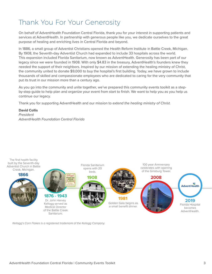## <span id="page-2-0"></span>Thank You For Your Generosity

On behalf of AdventHealth Foundation Central Florida, thank you for your interest in supporting patients and services at AdventHealth. In partnership with generous people like you, we dedicate ourselves to the great purpose of healing and enriching lives in Central Florida and beyond.

In 1886, a small group of Adventist Christians opened the Health Reform Institute in Battle Creek, Michigan. By 1908, the Seventh-day Adventist Church had expanded to include 33 hospitals across the world. This expansion included Florida Sanitarium, now known as AdventHealth. Generosity has been part of our legacy since we were founded in 1908. With only \$4.83 in the treasury, AdventHealth's founders knew they needed the support of their neighbors. Inspired by our mission of extending the healing ministry of Christ, the community united to donate \$9,000 to buy the hospital's first building. Today, we have grown to include thousands of skilled and compassionate employees who are dedicated to caring for the very community that put its trust in our mission more than a century ago.

As you go into the community and unite together, we've prepared this community events toolkit as a stepby-step guide to help plan and organize your event from start to finish. We want to help you as you help us continue our legacy.

Thank you for supporting AdventHealth and our mission to *extend the healing ministry of Christ.* 

#### **David Collis** *President AdventHealth Foundation Central Florida*



*Kellogg's Corn Flakes is a registered trademark of the Kellogg Company.*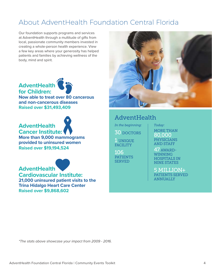## <span id="page-3-0"></span>About AdventHealth Foundation Central Florida

Our foundation supports programs and services at AdventHealth through a multitude of gifts from local, passionate community members invested in creating a whole-person health experience. View a few key areas where your generosity has helped patients and families by achieving wellness of the body, mind and spirit.



## **AdventHealth Cancer Institute:**

**More than 9,000 mammograms provided to uninsured women Raised over \$19,194,524**



**Cardiovascular Institute: 21,000 uninsured patient visits to the Trina Hidalgo Heart Care Center Raised over \$9,868,602**



## AdventHealth

*In the beginning:*

30 DOCTORS

1 UNIQUE FACILITY

106 **PATIENTS SERVED** 

*Today:*

MORE THAN 80,000 PHYSICIANS AND STAFF

47 AWARD-WINNING HOSPITALS IN NINE STATES

5 MILLION+ PATIENTS SERVED ANNUALLY

*\*The stats above showcase your impact from 2009 - 2016.*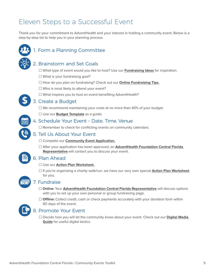## <span id="page-4-0"></span>Eleven Steps to a Successful Event

Thank you for your commitment to AdventHealth and your interest in holding a community event. Below is a step-by-step list to help you in your planning process.



## 1. Form a Planning Committee

## 2. Brainstorm and Set Goals

� What type of event would you like to host? Use our **[Fundraising Ideas](#page-9-0)** for inspiration.

- $\Box$  What is your fundraising goal?
- □ How do you plan on fundraising? Check out our **[Online Fundraising Tips.](#page-13-0)**
- $\Box$  Who is most likely to attend your event?
- $\Box$  What inspires you to host an event benefiting AdventHealth?



## 3. Create a Budget

 $\Box$  We recommend maintaining your costs at no more than 40% of your budget.

□ Use our **[Budget Template](#page-12-0)** as a guide.

### 4. Schedule Your Event – Date, Time, Venue

 $\Box$  Remember to check for conflicting events on community calendars.

## 5. Tell Us About Your Event

#### � Complete our **[Community Event Application](#page-18-0).**

� After your application has been approved, an **AdventHealth [Foundation Central Florida](mailto:Emily.Allen%40adventhealth.com?subject=)  [Representative](mailto:Emily.Allen%40adventhealth.com?subject=)** will contact you to discuss your event.

## 6. Plan Ahead

#### □ Use our **[Action Plan Worksheet](#page-10-0)**.

□ If you're organizing a charity walk/run, we have our very own special **[Action Plan Worksheet](#page-11-0)** for you.



### 7. Fundraise

- � **Online:** Your **AdventHealth [Foundation Central Florida Representati](mailto:Emily.Allen%40adventhealth.com?subject=)ve** will discuss options with you to set up your own personal or group fundraising page.
- □ **Offline:** Collect credit, cash or check payments accurately with your donation form within 60 days of the event.



### 8. Promote Your Event

� Decide how you will let the community know about your event. Check out our **Digita[l Media](#page-14-0)  [Guide](#page-14-0)** for useful digital tactics.

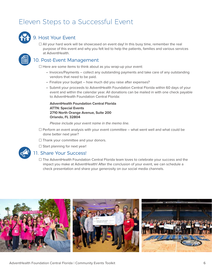## Eleven Steps to a Successful Event



## 9. Host Your Event

 $\Box$  All your hard work will be showcased on event day! In this busy time, remember the real purpose of this event and why you felt led to help the patients, families and various services at AdventHealth.

## 10. Post-Event Management

 $\Box$  Here are some items to think about as you wrap-up your event:

- Invoices/Payments collect any outstanding payments and take care of any outstanding vendors that need to be paid.
- Finalize your budget how much did you raise after expenses?
- Submit your proceeds to AdventHealth Foundation Central Florida within 60 days of your event and within the calendar year. All donations can be mailed in with one check payable to AdventHealth Foundation Central Florida:

**AdventHealth Foundation Central Florida ATTN: Special Events 2710 North Orange Avenue, Suite 200 Orlando, FL 32804**

*Please include your event name in the memo line.* 

- $\Box$  Perform an event analysis with your event committee what went well and what could be done better next year?
- $\Box$  Thank your committee and your donors.
- $\Box$  Start planning for next year!

### 11. Share Your Success!

 $\Box$  The AdventHealth Foundation Central Florida team loves to celebrate your success and the impact you make at AdventHealth! After the conclusion of your event, we can schedule a check presentation and share your generosity on our social media channels.

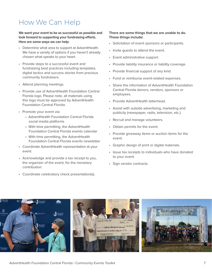## <span id="page-6-0"></span>How We Can Help

**We want your event to be as successful as possible and look forward to supporting your fundraising efforts. Here are some ways we can help:**

- Determine what area to support at AdventHealth. We have a variety of options if you haven't already chosen what speaks to your heart.
- Provide steps to a successful event and fundraising best practices including templates, digital tactics and success stories from previous community fundraisers.
- Attend planning meetings.
- Provide use of AdventHealth Foundation Central Florida logo. Please note, all materials using this logo must be approved by AdventHealth Foundation Central Florida.
- Promote your event via:
	- AdventHealth Foundation Central Florida social media platforms
	- With time permitting, the AdventHealth Foundation Central Florida events calendar
	- With time permitting, the AdventHealth Foundation Central Florida events newsletter
- Coordinate AdventHealth representation at your event.
- Acknowledge and provide a tax receipt to you, the organizer of the event, for the monetary contribution.
- Coordinate celebratory check presentation(s).

#### **There are some things that we are unable to do. These things include:**

- Solicitation of event sponsors or participants.
- Invite guests to attend the event.
- Event administrative support.
- Provide liability insurance or liability coverage.
- Provide financial support of any kind.
- Fund or reimburse event-related expenses.
- Share the information of AdventHealth Foundation Central Florida donors, vendors, sponsors or employees.
- Provide AdventHealth letterhead.
- Assist with outside advertising, marketing and publicity (newspaper, radio, television, etc.).
- Recruit and manage volunteers.
- Obtain permits for the event.
- Provide giveaway items or auction items for the event.
- Graphic design of print or digital materials.
- Issue tax receipts to individuals who have donated to your event.
- Sign vendor contracts.

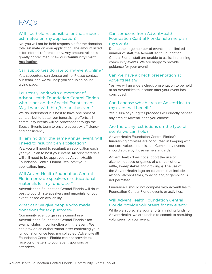## <span id="page-7-0"></span>FAQ's

#### Will I be held responsible for the amount estimated on my application?

No, you will not be held responsible for the donation total estimate on your application. The amount listed is for internal reference only. Any amount raised is greatly appreciated. View our **[Community Event](#page-18-0)  [Application](#page-18-0)**.

#### Can supporters donate to my event online?

Yes, supporters can donate online. Please contact our team, and we will help you set up an online giving page.

### I currently work with a member of AdventHealth Foundation Central Florida who is not on the Special Events team. May I work with him/her on the event?

We do understand it is best to have one point of contact, but to better our fundraising efforts, all community events will be processed through the Special Events team to ensure accuracy, efficiency and consistency.

#### If I am holding the same annual event, will I need to resubmit an application?

Yes, you will need to resubmit an application each year you plan to host your event. All print materials will still need to be approved by AdventHealth Foundation Central Florida. Resubmit your application, **[here.](#page-18-0)**

### Will AdventHealth Foundation Central Florida provide speakers or educational materials for my fundraiser?

AdventHealth Foundation Central Florida will do its best to coordinate speakers and materials for your event, based on availability.

### What can we give people who made donations for tax purposes?

Community event organizers cannot use AdventHealth Foundation Central Florida's tax exempt status in conjunction with the event. We can provide an authorization letter confirming your full donation once fees are collected. AdventHealth Foundation Central Florida can not provide tax receipts or letters to your event sponsors or attendees.

### Can someone from AdventHealth Foundation Central Florida help me plan my event?

Due to the large number of events and a limited number of staff, the AdventHealth Foundation Central Florida staff are unable to assist in planning community events. We are happy to provide guidance for your event!

#### Can we have a check presentation at AdventHealth?

Yes, we will arrange a check presentation to be held at an AdventHealth location after your event has concluded.

### Can I choose which area at AdventHealth my event will benefit?

Yes, 100% of your gift's proceeds will directly benefit any area at AdventHealth you choose.

### Are there any restrictions on the type of events we can hold?

AdventHealth Foundation Central Florida's fundraising activities are conducted in keeping with our core values and mission. Community events should abide by those same standards.

AdventHealth does not support the use of alcohol, tobacco or games of chance (lottery, raffle, sweepstakes and drawings). The use of the AdventHealth logo on collateral that includes alcohol, alcohol sales, tobacco and/or gambling is not permitted.

Fundraisers should not compete with AdventHealth Foundation Central Florida events or activities.

### Will AdventHealth Foundation Central Florida provide volunteers for my event?

While we appreciate your efforts in raising funds for AdventHealth, we are unable to commit to recruiting volunteers for your event.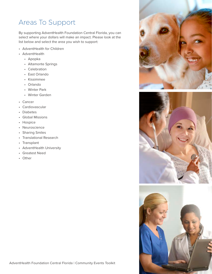## <span id="page-8-0"></span>Areas To Support

By supporting AdventHealth Foundation Central Florida, you can select where your dollars will make an impact. Please look at the list below and select the area you wish to support:

- AdventHealth for Children
- AdventHealth
	- Apopka
	- Altamonte Springs
	- Celebration
	- East Orlando
	- Kissimmee
	- Orlando
	- Winter Park
	- Winter Garden
- Cancer
- Cardiovascular
- Diabetes
- Global Missions
- Hospice
- Neuroscience
- Sharing Smiles
- Translational Research
- Transplant
- AdventHealth University
- Greatest Need
- Other





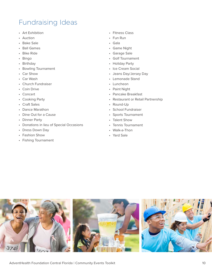## <span id="page-9-0"></span>Fundraising Ideas

- Art Exhibition
- Auction
- Bake Sale
- Ball Games
- Bike Ride
- Bingo
- Birthday
- Bowling Tournament
- Car Show
- Car Wash
- Church Fundraiser
- Coin Drive
- Concert
- Cooking Party
- Craft Sales
- Dance Marathon
- Dine Out for a Cause
- Dinner Party
- Donations in lieu of Special Occasions
- Dress Down Day
- Fashion Show
- Fishing Tournament
- Fitness Class
- Fun Run
- Gala
- Game Night
- Garage Sale
- Golf Tournament
- Holiday Party
- Ice Cream Social
- Jeans Day/Jersey Day
- Lemonade Stand
- Luncheon
- Paint Night
- Pancake Breakfast
- Restaurant or Retail Partnership
- Round-Up
- School Fundraiser
- Sports Tournament
- Talent Show
- Tennis Tournament
- Walk-a-Thon
- Yard Sale

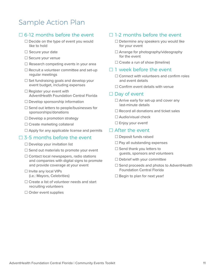## <span id="page-10-0"></span>Sample Action Plan

## $\square$  6-12 months before the event

- $\Box$  Decide on the type of event you would like to hold
- $\Box$  Secure your date
- □ Secure your venue
- $\Box$  Research competing events in your area
- $\Box$  Recruit a volunteer committee and set-up regular meetings
- $\Box$  Set fundraising goals and develop your event budget, including expenses
- $\Box$  Register your event with AdventHealth Foundation Central Florida
- $\Box$  Develop sponsorship information
- $\square$  Send out letters to people/businesses for sponsorships/donations
- $\Box$  Develop a promotion strategy
- □ Create marketing collateral
- $\Box$  Apply for any applicable license and permits

### $\square$  3-5 months before the event

- $\Box$  Develop your invitation list
- $\square$  Send out materials to promote your event
- $\Box$  Contact local newspapers, radio stations and companies with digital signs to promote and provide coverage at your event
- □ Invite any local VIPs (i.e.: Mayors, Celebrities)
- $\Box$  Create a list of volunteer needs and start recruiting volunteers
- $\Box$  Order event supplies

## $\Box$  1-2 months before the event

- $\Box$  Determine any speakers you would like for your event
- $\Box$  Arrange for photography/videography for the event
- $\Box$  Create a run of show (timeline)

### $\Box$  1 week before the event

- ཎ Connect with volunteers and confirm roles and event details
- $\Box$  Confirm event details with venue

### $\square$  Day of event

- $\Box$  Arrive early for set-up and cover any last-minute details
- $\Box$  Record all donations and ticket sales
- $\Box$  Audio/visual check
- $\Box$  Enjoy your event!

### $\Box$  After the event

- $\Box$  Deposit funds raised
- $\Box$  Pay all outstanding expenses
- $\Box$  Send thank you letters to guests, sponsors and volunteers
- $\Box$  Debrief with your committee
- $\Box$  Send proceeds and photos to AdventHealth Foundation Central Florida
- $\Box$  Begin to plan for next year!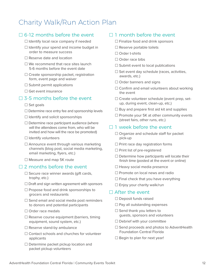## <span id="page-11-0"></span>Charity Walk/Run Action Plan

## $\square$  6-12 months before the event

- $\Box$  Identify local race company if needed
- $\Box$  Identify your spend and income budget in order to measure success
- $\Box$  Reserve date and location
- $\Box$  We recommend that race sites launch 5-6 months before the event date
- $\Box$  Create sponsorship packet, registration form, event page and waiver
- $\Box$  Submit permit applications
- $\Box$  Get event insurance

## $\square$  3-5 months before the event

- $\square$  Set goals
- $\Box$  Determine race entry fee and sponsorship levels
- $\Box$  Identify and solicit sponsorships
- $\Box$  Determine race participant audience (where will the attendees come from, who will be invited and how will the race be promoted)
- $\Box$  Identify volunteers
- $\Box$  Announce event through various marketing channels (blog post, social media marketing, email marketing, flyers, etc.)
- □ Measure and map 5K route

### $\square$  2 months before the event

- $\Box$  Secure race winner awards (gift cards, trophy, etc.)
- $\Box$  Draft and sign written agreement with sponsors
- $\Box$  Propose food and drink sponsorships to grocers and restaurants
- $\Box$  Send email and social media post reminders to donors and potential participants
- $\Box$  Order race medals
- $\Box$  Reserve course equipment (barriers, timing equipment, sound system, etc.)
- $\Box$  Reserve stand-by ambulance
- $\Box$  Contact schools and churches for volunteer applicants
- $\Box$  Determine packet pickup location and packet pickup volunteers

### $\Box$  1 month before the event

- $\Box$  Finalize food and drink sponsors
- $\Box$  Reserve portable toilets
- □ Order t-shirts
- □ Order race bibs
- $\Box$  Submit event to local publications
- $\square$  Set event day schedule (races, activities, awards, etc.)
- $\Box$  Order banners and signs
- $\Box$  Confirm and email volunteers about working the event
- □ Create volunteer schedule (event prep, setup, during event, clean-up, etc.)
- $\Box$  Buy and prepare first aid kit and supplies
- $\Box$  Promote your 5K at other community events (street fairs, other runs, etc.)

## $\Box$  1 week before the event

- $\Box$  Organize and schedule staff for packet pick-up
- $\Box$  Print race day registration forms
- $\Box$  Print list of pre-registered
- $\Box$  Determine how participants will locate their finish time (posted at the event or online)
- $\Box$  Heavy social media presence
- $\Box$  Promote on local news and radio
- $\Box$  Final check that you have everything
- $\Box$  Enjoy your charity walk/run

### $\Box$  After the event

- $\Box$  Deposit funds raised
- $\Box$  Pay all outstanding expenses
- $\Box$  Send thank you letters to guests, sponsors and volunteers
- $\Box$  Debrief with your committee
- $\Box$  Send proceeds and photos to AdventHealth Foundation Central Florida
- $\Box$  Begin to plan for next year!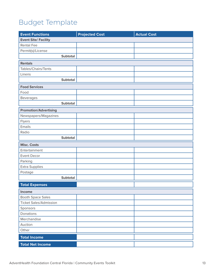## <span id="page-12-0"></span>Budget Template

| <b>Event Functions</b>        | <b>Projected Cost</b> | <b>Actual Cost</b> |
|-------------------------------|-----------------------|--------------------|
| <b>Event Site/ Facility</b>   |                       |                    |
| <b>Rental Fee</b>             |                       |                    |
| Permit(s)/License             |                       |                    |
| <b>Subtotal</b>               |                       |                    |
| <b>Rentals</b>                |                       |                    |
| Tables/Chairs/Tents           |                       |                    |
| Linens                        |                       |                    |
| <b>Subtotal</b>               |                       |                    |
| <b>Food Services</b>          |                       |                    |
| Food                          |                       |                    |
| <b>Beverages</b>              |                       |                    |
| <b>Subtotal</b>               |                       |                    |
| <b>Promotion/Advertising</b>  |                       |                    |
| Newspapers/Magazines          |                       |                    |
| Flyers                        |                       |                    |
| Emails                        |                       |                    |
| Radio                         |                       |                    |
| Subtotal                      |                       |                    |
| <b>Misc. Costs</b>            |                       |                    |
| Entertainment                 |                       |                    |
| <b>Event Decor</b>            |                       |                    |
| Parking                       |                       |                    |
| <b>Extra Supplies</b>         |                       |                    |
| Postage                       |                       |                    |
| <b>Subtotal</b>               |                       |                    |
| <b>Total Expenses</b>         |                       |                    |
| Income                        |                       |                    |
| <b>Booth Space Sales</b>      |                       |                    |
| <b>Ticket Sales/Admission</b> |                       |                    |
| Sponsors                      |                       |                    |
| Donations                     |                       |                    |
| Merchandise                   |                       |                    |
| Auction                       |                       |                    |
| Other                         |                       |                    |
| <b>Total Income</b>           |                       |                    |
| <b>Total Net Income</b>       |                       |                    |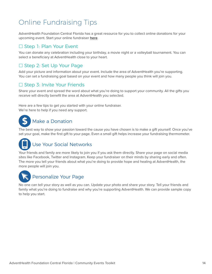## <span id="page-13-0"></span>Online Fundraising Tips

AdventHealth Foundation Central Florida has a great resource for you to collect online donations for your upcoming event. Start your online fundraiser **[here](http://floridahospital.me/site/TR?fr_id=1070&pg=entry)**.

## □ Step 1: Plan Your Event

You can donate any celebration including your birthday, a movie night or a volleyball tournament. You can select a beneficiary at AdventHealth close to your heart.

## □ Step 2: Set Up Your Page

Add your picture and information about your event. Include the area of AdventHealth you're supporting. You can set a fundraising goal based on your event and how many people you think will join you.

## □ Step 3: Invite Your Friends

Share your event and spread the word about what you're doing to support your community. All the gifts you receive will directly benefit the area at AdventHealth you selected.

Here are a few tips to get you started with your online fundraiser. We're here to help if you need any support.

### j Make a Donation

The best way to show your passion toward the cause you have chosen is to make a gift yourself. Once you've set your goal, make the first gift to your page. Even a small gift helps increase your fundraising thermometer.

## Use Your Social Networks

Your friends and family are more likely to join you if you ask them directly. Share your page on social media sites like Facebook, Twitter and Instagram. Keep your fundraiser on their minds by sharing early and often. The more you tell your friends about what you're doing to provide hope and healing at AdventHealth, the more people will join you.



## Personalize Your Page

No one can tell your story as well as you can. Update your photo and share your story. Tell your friends and family what you're doing to fundraise and why you're supporting AdventHealth. We can provide sample copy to help you start.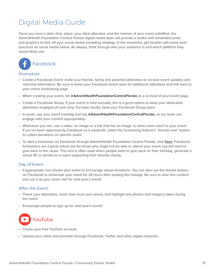## <span id="page-14-0"></span>Digital Media Guide

Once you have a date, time, place, your ideal attendee, and the mission of your event solidified, the AdventHealth Foundation Central Florida digital media team will provide a toolkit with templated posts and graphics to kick off your social media marketing strategy. In the meantime, get familiar with some best practices on social media below. As always, think through who your audience is and which platform they would likely use.



#### Promotion:

- Create a Facebook Event: Invite your friends, family and potential attendees to receive event updates and real-time information. Be sure to leave your Facebook event open for additional attendees and link back to your online fundraising page.
- When creating your event, list **@AdventHealthFoundationCentralFlorida** as a co-host of your event page.
- Create a Facebook Group: If your event is held annually, this is a good option to keep your dedicated attendees engaged all year long. For best results, keep your Facebook Group open.
- In posts, use your event hashtag and tag **@AdventHealthFoundationCentralFlorida,** so our team can engage with your content appropriately.
- Whenever you can, use a video, an image or a link that has an image, to drive more reach to your event. If you've been approved by Facebook as a nonprofit, utilize the fundraising feature's "donate now" button to collect donations on specific posts.
- To start a fundraiser on Facebook through AdventHealth Foundation Central Florida, click **[here](https://www.facebook.com/fund/AdventHealthFoundationCentralFlorida/)**. Facebook fundraisers are a great virtual tool for those who might not be able to attend your event, but still want to give back to the cause. This tool is often used when people want to give back on their birthday, generate a virtual 5K or donate to a event supporting their favorite charity.

#### Day of Event:

• If appropriate, live stream your event to encourage virtual donations. You can also use the stories feature on Facebook to showcase your event for 24 hours after posting the footage. Be sure to save this content and use it as your sizzle reel for next year's event!

#### After the Event:

- Thank your attendees, share how much you raised, and highlight any photos and imagery taken during the event.
- Encourage people to sign up for next year's event!



- Create your free YouTube account.
- Upload your video and promote through Facebook, Twitter and other digital channels.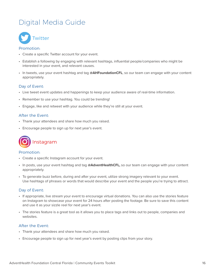## Digital Media Guide



#### Promotion:

- Create a specific Twitter account for your event.
- Establish a following by engaging with relevant hashtags, influential people/companies who might be interested in your event, and relevant causes.
- In tweets, use your event hashtag and tag **@AHFoundationCFL**, so our team can engage with your content appropriately.

### Day of Event:

- Live tweet event updates and happenings to keep your audience aware of real-time information.
- Remember to use your hashtag. You could be trending!
- Engage, like and retweet with your audience while they're still at your event.

#### After the Event:

- Thank your attendees and share how much you raised.
- Encourage people to sign up for next year's event.



#### Promotion:

- Create a specific Instagram account for your event.
- In posts, use your event hashtag and tag **@AdventHealthCFL,** so our team can engage with your content appropriately.
- To generate buzz before, during and after your event, utilize strong imagery relevant to your event. Use hashtags of phrases or words that would describe your event and the people you're trying to attract.

#### Day of Event:

- If appropriate, live stream your event to encourage virtual donations. You can also use the stories feature on Instagram to showcase your event for 24 hours after posting the footage. Be sure to save this content and use it as your sizzle reel for next year's event.
- The stories feature is a great tool as it allows you to place tags and links out to people, companies and websites.

#### After the Event:

- Thank your attendees and share how much you raised.
- Encourage people to sign up for next year's event by posting clips from your story.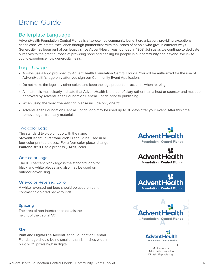## <span id="page-16-0"></span>Brand Guide

## Boilerplate Language

AdventHealth Foundation Central Florida is a tax-exempt, community benefit organization, providing exceptional health care. We create excellence through partnerships with thousands of people who give in different ways. Generosity has been part of our legacy since AdventHealth was founded in 1908. Join us as we continue to dedicate ourselves to the great purpose of providing hope and healing for people in our community and beyond. We invite you to experience how generosity heals.

## Logo Usage

- Always use a logo provided by AdventHealth Foundation Central Florida. You will be authorized for the use of AdventHealth's logo only after you sign our Community Event Application.
- Do not make the logo any other colors and keep the logo proportions accurate when resizing.
- All materials must clearly indicate that AdventHealth is the beneficiary rather than a host or sponsor and must be approved by AdventHealth Foundation Central Florida prior to publishing.
- When using the word "benefiting", please include only one "t".
- AdventHealth Foundation Central Florida logo may be used up to 30 days after your event. After this time, remove logos from any materials.

### Two-color Logo

The standard two-color logo with the name "AdventHealth" in **Pantone 7691 C** should be used in all four-color printed pieces. For a four-color piece, change **Pantone 7691 C** to a process (CMYK) color.

#### One-color Logo

The 100 percent black logo is the standard logo for black and white pieces and also may be used on outdoor advertising.

#### One-color Reversed Logo

A white reversed-out logo should be used on dark, contrasting-colored backgrounds.

#### Spacing

The area of non-interference equals the height of the capital "A"

#### **Size**

**Print and Digital:**The AdventHealth Foundation Central Florida logo should be no smaller than 1.4 inches wide in print or 25 pixels high in digital.





**Advent Hea Foundation | Central Florida** 





Minimum size: Print: 1.4 inches wide Digital: 25 pixels high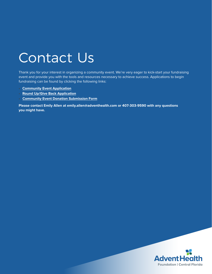# <span id="page-17-0"></span>Contact Us

Thank you for your interest in organizing a community event. We're very eager to kick-start your fundraising event and provide you with the tools and resources necessary to achieve success. Applications to begin fundraising can be found by clicking the following links:

- **[Community Event Application](#page-18-0)**
- **[Round Up/Give Back Application](#page-20-0)**
- **[Community Event Donation Submission Form](#page-21-0)**

**Please contact Emily Allen at emily.allen@adventhealth.com or 407-303-9590 with any questions you might have.**

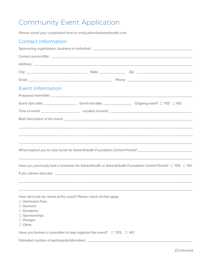## <span id="page-18-0"></span>Community Event Application

*Please email your completed form to emily.allen@adventhealth.com.* 

## Contact Information

| <b>Event Information</b>                                                                                                                                                                 |  |  |                                                                                                                                                                                                              |  |  |  |
|------------------------------------------------------------------------------------------------------------------------------------------------------------------------------------------|--|--|--------------------------------------------------------------------------------------------------------------------------------------------------------------------------------------------------------------|--|--|--|
|                                                                                                                                                                                          |  |  |                                                                                                                                                                                                              |  |  |  |
|                                                                                                                                                                                          |  |  | Event start date: _______________________________ Event end date: ________________________ Ongoing event? □ YES □ NO                                                                                         |  |  |  |
|                                                                                                                                                                                          |  |  |                                                                                                                                                                                                              |  |  |  |
|                                                                                                                                                                                          |  |  |                                                                                                                                                                                                              |  |  |  |
|                                                                                                                                                                                          |  |  | ,我们也不会有什么。""我们的人,我们也不会有什么?""我们的人,我们也不会有什么?""我们的人,我们也不会有什么?""我们的人,我们也不会有什么?""我们的人                                                                                                                             |  |  |  |
|                                                                                                                                                                                          |  |  | ,我们也不会有什么。""我们的人,我们也不会有什么?""我们的人,我们也不会有什么?""我们的人,我们也不会有什么?""我们的人,我们也不会有什么?""我们的人                                                                                                                             |  |  |  |
|                                                                                                                                                                                          |  |  | ,我们也不能在这里的时候,我们也不能在这里的时候,我们也不能不能不能不能不能不能不能不能不能不能不能不能不能不能不能。""我们的是,我们也不能不能不能不能不能不能<br>Have you previously held a fundraiser for AdventHealth or AdventHealth Foundation Central Florida? $\Box$ YES $\Box$ NO |  |  |  |
|                                                                                                                                                                                          |  |  |                                                                                                                                                                                                              |  |  |  |
|                                                                                                                                                                                          |  |  |                                                                                                                                                                                                              |  |  |  |
| How will funds be raised at this event? Please check all that apply.<br>□ Admission Fees<br>$\Box$ Auctions<br>$\Box$ Donations<br>$\Box$ Sponsorships<br>$\Box$ Pledges<br>$\Box$ Other |  |  |                                                                                                                                                                                                              |  |  |  |
|                                                                                                                                                                                          |  |  |                                                                                                                                                                                                              |  |  |  |
| Estimated number of participants/attendees: _                                                                                                                                            |  |  |                                                                                                                                                                                                              |  |  |  |

*(Continued)*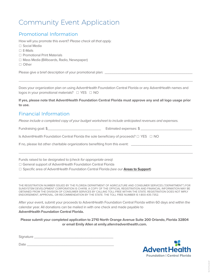## Community Event Application

## Promotional Information

How will you promote this event? *Please check all that apply.*

- □ Social Media
- $\Box$  E-Mails
- □ Promotional Print Materials
- □ Mass Media (Billboards, Radio, Newspaper)
- □ Other

Please give a brief description of your promotional plan: \_\_\_\_\_\_\_\_\_\_\_\_\_\_\_\_\_\_\_\_\_\_

Does your organization plan on using AdventHealth Foundation Central Florida or any AdventHealth names and logos in your promotional materials? □ YES □ NO

\_\_\_\_\_\_\_\_\_\_\_\_\_\_\_\_\_\_\_\_\_\_\_\_\_\_\_\_\_\_\_\_\_\_\_\_\_\_\_\_\_\_\_\_\_\_\_\_\_\_\_\_\_\_\_\_\_\_\_\_\_\_\_\_\_\_\_\_\_\_\_\_\_\_\_\_\_\_\_\_\_\_\_\_\_\_\_\_

**If yes, please note that AdventHealth Foundation Central Florida must approve any and all logo usage prior to use.**

## Financial Information

*Please include a completed copy of your budget worksheet to include anticipated revenues and expenses.* 

Fundraising goal: \$\_\_\_\_\_\_\_\_\_\_\_\_\_\_\_\_\_\_\_\_\_\_\_\_\_\_\_\_ Estimated expenses: \$ \_\_\_\_\_\_\_\_\_\_\_\_\_\_\_\_\_\_\_\_\_\_\_\_\_\_\_

Is AdventHealth Foundation Central Florida the sole beneficiary of proceeds? □ YES □ NO

If no, please list other charitable organizations benefiting from this event: \_\_\_\_\_\_\_\_\_

Funds raised to be designated to (*check for appropriate area)*:

□ General support of AdventHealth Foundation Central Florida

□ Specific area of AdventHealth Foundation Central Florida *(see our* **[Areas to Support](#page-8-0)**)

THE REGISTRATION NUMBER ISSUED BY THE FLORIDA DEPARTMENT OF AGRICULTURE AND CONSUMER SERVICES ("DEPARTMENT") FOR SUNSYSTEM DEVELOPMENT CORPORATION IS CH4118. A COPY OF THE OFFICIAL REGISTRATION AND FINANCIAL INFORMATION MAY BE OBTAINED FROM THE DIVISION OF CONSUMER SERVICES BY CALLING TOLL-FREE WITHIN THE STATE. REGISTRATION DOES NOT IMPLY ENDORSEMENT, APPROVAL, OR RECOMMENDATION BY THE STATE. THE TOLL FREE NUMBER IS 1-800-435-7352.

\_\_\_\_\_\_\_\_\_\_\_\_\_\_\_\_\_\_\_\_\_\_\_\_\_\_\_\_\_\_\_\_\_\_\_\_\_\_\_\_\_\_\_\_\_\_\_\_\_\_\_\_\_\_\_\_\_\_\_\_\_\_\_\_\_\_\_\_\_\_\_\_\_\_\_\_\_\_\_\_\_\_\_\_\_\_\_\_

 $\overline{a_1}$  ,  $\overline{a_2}$  ,  $\overline{a_3}$  ,  $\overline{a_4}$  ,  $\overline{a_5}$  ,  $\overline{a_6}$  ,  $\overline{a_7}$  ,  $\overline{a_8}$  ,  $\overline{a_9}$  ,  $\overline{a_9}$  ,  $\overline{a_9}$  ,  $\overline{a_9}$  ,  $\overline{a_9}$  ,  $\overline{a_9}$  ,  $\overline{a_9}$  ,  $\overline{a_9}$  ,  $\overline{a_9}$  ,

After your event, submit your proceeds to AdventHealth Foundation Central Florida within 60 days and within the calendar year. All donations can be mailed in with one check and made payable to **AdventHealth Foundation Central Florida.**

**Please submit your completed application to 2710 North Orange Avenue Suite 200 Orlando, Florida 32804 or email Emily Allen [at emily.allen@adventhealth.com.](mailto:Emily.Allen@AdventHealth.com)** 

Signature **Example 2018** 

 $Date$   $\qquad$ 

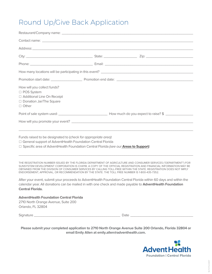## <span id="page-20-0"></span>Round Up/Give Back Application

| How will you collect funds?<br>□ POS System<br>□ Additional Line On Receipt<br>□ Donation Jar/The Square<br>$\Box$ Other                                                                                                                                                                                                                                                                                                                                                   |                                                                                                                                                                                                                                                                                                                                                                                                                                                                                                                                                                                            |
|----------------------------------------------------------------------------------------------------------------------------------------------------------------------------------------------------------------------------------------------------------------------------------------------------------------------------------------------------------------------------------------------------------------------------------------------------------------------------|--------------------------------------------------------------------------------------------------------------------------------------------------------------------------------------------------------------------------------------------------------------------------------------------------------------------------------------------------------------------------------------------------------------------------------------------------------------------------------------------------------------------------------------------------------------------------------------------|
|                                                                                                                                                                                                                                                                                                                                                                                                                                                                            |                                                                                                                                                                                                                                                                                                                                                                                                                                                                                                                                                                                            |
|                                                                                                                                                                                                                                                                                                                                                                                                                                                                            |                                                                                                                                                                                                                                                                                                                                                                                                                                                                                                                                                                                            |
| Funds raised to be designated to (check for appropriate area):<br>□ General support of AdventHealth Foundation Central Florida<br>□ Specific area of AdventHealth Foundation Central Florida (see our <b>Areas to Support</b> )<br>ENDORSEMENT, APPROVAL, OR RECOMMENDATION BY THE STATE. THE TOLL FREE NUMBER IS 1-800-435-7352.<br><b>Central Florida.</b><br><b>AdventHealth Foundation Central Florida</b><br>2710 North Orange Avenue, Suite 200<br>Orlando, FL 32804 | THE REGISTRATION NUMBER ISSUED BY THE FLORIDA DEPARTMENT OF AGRICULTURE AND CONSUMER SERVICES ("DEPARTMENT") FOR<br>SUNSYSTEM DEVELOPMENT CORPORATION IS CH4118. A COPY OF THE OFFICIAL REGISTRATION AND FINANCIAL INFORMATION MAY BE<br>OBTAINED FROM THE DIVISION OF CONSUMER SERVICES BY CALLING TOLL-FREE WITHIN THE STATE. REGISTRATION DOES NOT IMPLY<br>After your event, submit your proceeds to AdventHealth Foundation Central Florida within 60 days and within the<br>calendar year. All donations can be mailed in with one check and made payable to AdventHealth Foundation |
|                                                                                                                                                                                                                                                                                                                                                                                                                                                                            |                                                                                                                                                                                                                                                                                                                                                                                                                                                                                                                                                                                            |
|                                                                                                                                                                                                                                                                                                                                                                                                                                                                            |                                                                                                                                                                                                                                                                                                                                                                                                                                                                                                                                                                                            |

**Please submit your completed application to 2710 North Orange Avenue Suite 200 Orlando, Florida 32804 or email Emily Allen a[t emily.allen@adventhealth.com.](mailto:Emily.Allen@AdventHealth.com)**